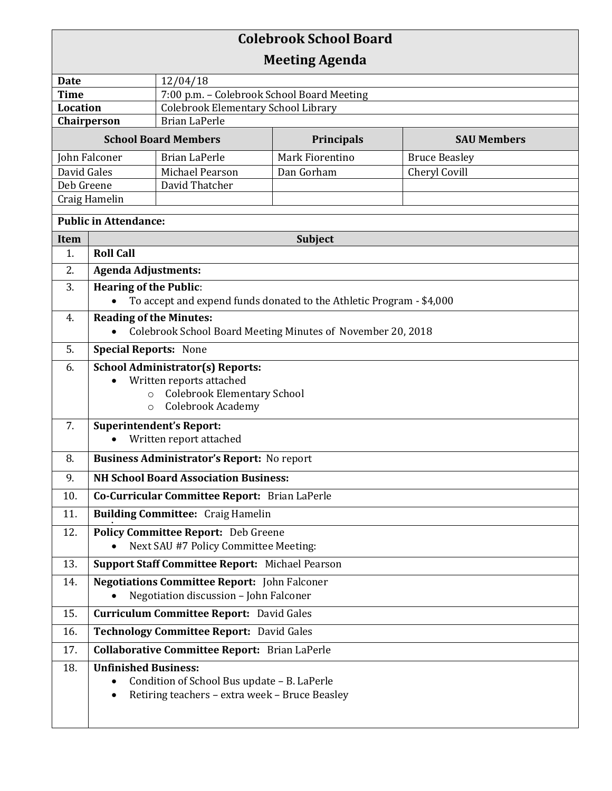| <b>Colebrook School Board</b>       |                                                                                               |                                                                                               |                                                                      |                      |  |  |
|-------------------------------------|-----------------------------------------------------------------------------------------------|-----------------------------------------------------------------------------------------------|----------------------------------------------------------------------|----------------------|--|--|
| <b>Meeting Agenda</b>               |                                                                                               |                                                                                               |                                                                      |                      |  |  |
| <b>Date</b>                         |                                                                                               | 12/04/18                                                                                      |                                                                      |                      |  |  |
| <b>Time</b>                         |                                                                                               | 7:00 p.m. - Colebrook School Board Meeting                                                    |                                                                      |                      |  |  |
| <b>Location</b>                     |                                                                                               | <b>Colebrook Elementary School Library</b>                                                    |                                                                      |                      |  |  |
| Chairperson<br><b>Brian LaPerle</b> |                                                                                               |                                                                                               |                                                                      |                      |  |  |
|                                     |                                                                                               | <b>School Board Members</b>                                                                   | <b>Principals</b>                                                    | <b>SAU Members</b>   |  |  |
| John Falconer                       |                                                                                               | <b>Brian LaPerle</b>                                                                          | Mark Fiorentino                                                      | <b>Bruce Beasley</b> |  |  |
| David Gales<br>Deb Greene           |                                                                                               | Michael Pearson<br>David Thatcher                                                             | Dan Gorham                                                           | Cheryl Covill        |  |  |
| Craig Hamelin                       |                                                                                               |                                                                                               |                                                                      |                      |  |  |
| <b>Public in Attendance:</b>        |                                                                                               |                                                                                               |                                                                      |                      |  |  |
| Item                                |                                                                                               |                                                                                               | Subject                                                              |                      |  |  |
| 1.                                  | <b>Roll Call</b>                                                                              |                                                                                               |                                                                      |                      |  |  |
| 2.                                  | <b>Agenda Adjustments:</b>                                                                    |                                                                                               |                                                                      |                      |  |  |
| 3.                                  | <b>Hearing of the Public:</b>                                                                 |                                                                                               |                                                                      |                      |  |  |
|                                     |                                                                                               |                                                                                               | To accept and expend funds donated to the Athletic Program - \$4,000 |                      |  |  |
| 4.                                  | <b>Reading of the Minutes:</b><br>Colebrook School Board Meeting Minutes of November 20, 2018 |                                                                                               |                                                                      |                      |  |  |
| 5.                                  | <b>Special Reports: None</b>                                                                  |                                                                                               |                                                                      |                      |  |  |
| 6.                                  | <b>School Administrator(s) Reports:</b>                                                       |                                                                                               |                                                                      |                      |  |  |
|                                     | Written reports attached<br>$\bullet$                                                         |                                                                                               |                                                                      |                      |  |  |
|                                     | <b>Colebrook Elementary School</b><br>$\circ$<br>Colebrook Academy                            |                                                                                               |                                                                      |                      |  |  |
| 7.                                  | $\circ$                                                                                       |                                                                                               |                                                                      |                      |  |  |
|                                     | <b>Superintendent's Report:</b><br>Written report attached                                    |                                                                                               |                                                                      |                      |  |  |
| 8.                                  | <b>Business Administrator's Report: No report</b>                                             |                                                                                               |                                                                      |                      |  |  |
| 9.                                  | <b>NH School Board Association Business:</b>                                                  |                                                                                               |                                                                      |                      |  |  |
| 10.                                 | Co-Curricular Committee Report: Brian LaPerle                                                 |                                                                                               |                                                                      |                      |  |  |
| 11.                                 | <b>Building Committee: Craig Hamelin</b>                                                      |                                                                                               |                                                                      |                      |  |  |
| 12.                                 | Policy Committee Report: Deb Greene                                                           |                                                                                               |                                                                      |                      |  |  |
|                                     |                                                                                               | Next SAU #7 Policy Committee Meeting:                                                         |                                                                      |                      |  |  |
| 13.                                 | Support Staff Committee Report: Michael Pearson                                               |                                                                                               |                                                                      |                      |  |  |
| 14.                                 | <b>Negotiations Committee Report:</b> John Falconer<br>Negotiation discussion - John Falconer |                                                                                               |                                                                      |                      |  |  |
| 15.                                 | <b>Curriculum Committee Report: David Gales</b>                                               |                                                                                               |                                                                      |                      |  |  |
| 16.                                 | Technology Committee Report: David Gales                                                      |                                                                                               |                                                                      |                      |  |  |
| 17.                                 | <b>Collaborative Committee Report:</b> Brian LaPerle                                          |                                                                                               |                                                                      |                      |  |  |
| 18.                                 | <b>Unfinished Business:</b><br>$\bullet$<br>$\bullet$                                         | Condition of School Bus update - B. LaPerle<br>Retiring teachers - extra week - Bruce Beasley |                                                                      |                      |  |  |